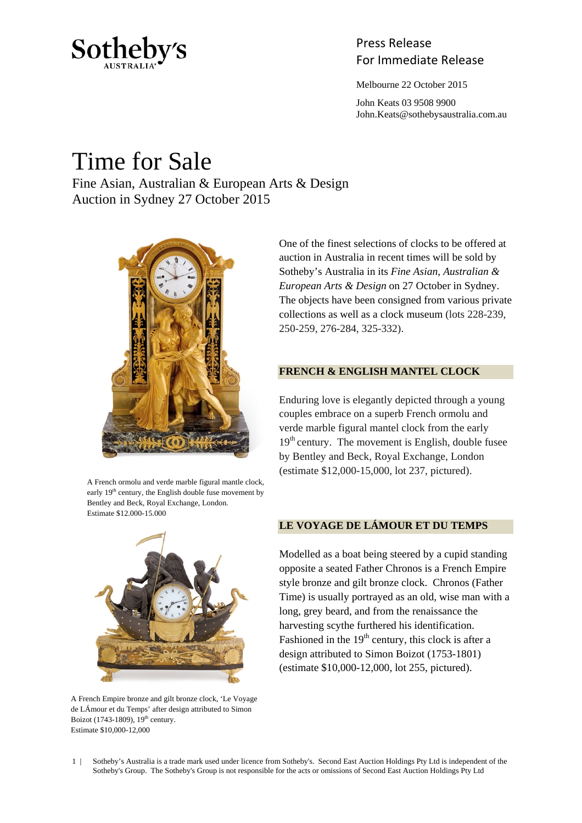

## Press Release Sotheby's<br>For Immediate Release

Melbourne 22 October 2015

 John Keats 03 9508 9900 John.Keats@sothebysaustralia.com.au

# Time for Sale

Fine Asian, Australian & European Arts & Design Auction in Sydney 27 October 2015



A French ormolu and verde marble figural mantle clock, early  $19<sup>th</sup>$  century, the English double fuse movement by Bentley and Beck, Royal Exchange, London. Estimate \$12,000-15,000



A French Empire bronze and gilt bronze clock, 'Le Voyage de LÁmour et du Temps' after design attributed to Simon Boizot (1743-1809),  $19<sup>th</sup>$  century. Estimate \$10,000-12,000

One of the finest selections of clocks to be offered at auction in Australia in recent times will be sold by Sotheby's Australia in its *Fine Asian, Australian & European Arts & Design* on 27 October in Sydney. The objects have been consigned from various private collections as well as a clock museum (lots 228-239, 250-259, 276-284, 325-332).

## **FRENCH & ENGLISH MANTEL CLOCK**

Enduring love is elegantly depicted through a young couples embrace on a superb French ormolu and verde marble figural mantel clock from the early  $19<sup>th</sup>$  century. The movement is English, double fusee by Bentley and Beck, Royal Exchange, London (estimate \$12,000-15,000, lot 237, pictured).

## **LE VOYAGE DE LÁMOUR ET DU TEMPS**

Modelled as a boat being steered by a cupid standing opposite a seated Father Chronos is a French Empire style bronze and gilt bronze clock. Chronos (Father Time) is usually portrayed as an old, wise man with a long, grey beard, and from the renaissance the harvesting scythe furthered his identification. Fashioned in the  $19<sup>th</sup>$  century, this clock is after a design attributed to Simon Boizot (1753-1801) (estimate \$10,000-12,000, lot 255, pictured).

1 | Sotheby's Australia is a trade mark used under licence from Sotheby's. Second East Auction Holdings Pty Ltd is independent of the Sotheby's Group. The Sotheby's Group is not responsible for the acts or omissions of Second East Auction Holdings Pty Ltd